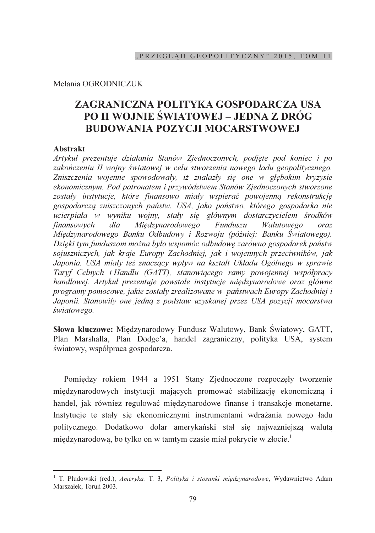### Melania OGRODNICZUK

# ZAGRANICZNA POLITYKA GOSPODARCZA USA **PO II WOJNIE ŚWIATOWEJ – JEDNA Z DRÓG BUDOWANIA POZYCJI MOCARSTWOWEJ**

## **Abstrakt**

Artykuł prezentuje działania Stanów Zjednoczonych, podjęte pod koniec i po zakończeniu II wojny światowej w celu stworzenia nowego ładu geopolitycznego. Zniszczenia wojenne spowodowały, iż znalazły się one w głębokim kryzysie ekonomicznym. Pod patronatem i przywództwem Stanów Zjednoczonych stworzone zostały instytucje, które finansowo miały wspierać powojenna rekonstrukcje gospodarczą zniszczonych państw. USA, jako państwo, którego gospodarka nie ucierpiała w wyniku wojny, stały się głównym dostarczycielem środków Międzynarodowego finansowych  $dla$ Funduszu Walutowego oraz Międzynarodowego Banku Odbudowy i Rozwoju (później: Banku Światowego). Dzięki tym funduszom można było wspomóc odbudowę zarówno gospodarek państw sojuszniczych, jak kraje Europy Zachodniej, jak i wojennych przeciwników, jak Japonia. USA miały też znaczący wpływ na kształt Układu Ogólnego w sprawie Taryf Celnych i Handlu (GATT), stanowiącego ramy powojennej współpracy handlowej. Artykuł prezentuje powstałe instytucje międzynarodowe oraz główne programy pomocowe, jakie zostały zrealizowane w państwach Europy Zachodniej i Japonii. Stanowiły one jedną z podstaw uzyskanej przez USA pozycji mocarstwa światowego.

Słowa kluczowe: Międzynarodowy Fundusz Walutowy, Bank Światowy, GATT, Plan Marshalla, Plan Dodge'a, handel zagraniczny, polityka USA, system światowy, współpraca gospodarcza.

Pomiędzy rokiem 1944 a 1951 Stany Zjednoczone rozpoczęły tworzenie międzynarodowych instytucji mających promować stabilizację ekonomiczną i handel, jak również regulować międzynarodowe finanse i transakcje monetarne. Instytucje te stały się ekonomicznymi instrumentami wdrażania nowego ładu politycznego. Dodatkowo dolar amerykański stał się najważniejszą walutą międzynarodową, bo tylko on w tamtym czasie miał pokrycie w złocie.<sup>1</sup>

<sup>&</sup>lt;sup>1</sup> T. Płudowski (red.), Ameryka. T. 3, Polityka i stosunki międzynarodowe, Wydawnictwo Adam Marszałek. Toruń 2003.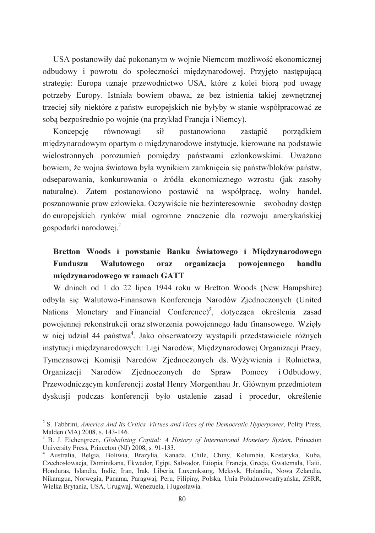USA postanowiły dać pokonanym w wojnie Niemcom możliwość ekonomicznej odbudowy i powrotu do społeczności międzynarodowej. Przyjęto następującą strategie: Europa uznaje przewodnictwo USA, które z kolei biorą pod uwagę potrzeby Europy. Istniała bowiem obawa, że bez istnienia takiej zewnętrznej trzeciej siły niektóre z państw europejskich nie byłyby w stanie współpracować ze soba bezpośrednio po wojnie (na przykład Francja i Niemcy).

Koncepcie równowagi sił postanowiono zastanić porzadkiem miedzynarodowym opartym o miedzynarodowe instytucje, kierowane na podstawie wielostronnych porozumień pomiędzy państwami członkowskimi. Uważano bowiem, że wojna światowa była wynikiem zamkniecia się państw/bloków państw, odseparowania, konkurowania o źródła ekonomicznego wzrostu (jak zasoby naturalne). Zatem postanowiono postawić na współprace, wolny handel, poszanowanie praw człowieka. Oczywiście nie bezinteresownie – swobodny dostęp do europejskich rynków miał ogromne znaczenie dla rozwoju amerykańskiej gospodarki narodowej.<sup>2</sup>

#### Bretton Woods i powstanie Banku Światowego i Międzynarodowego Funduszu Walutowego oraz organizacja powojennego handlu miedzvnarodowego w ramach GATT

W dniach od 1 do 22 lipca 1944 roku w Bretton Woods (New Hampshire) odbyła się Walutowo-Finansowa Konferencja Narodów Zjednoczonych (United Nations Monetary and Financial Conference)<sup>3</sup>, dotycząca określenia zasad powojennej rekonstrukcji oraz stworzenia powojennego ładu finansowego. Wzięły w niej udział 44 państwa<sup>4</sup>. Jako obserwatorzy wystąpili przedstawiciele różnych instytucji międzynarodowych: Ligi Narodów, Międzynarodowej Organizacji Pracy, Tymczasowej Komisji Narodów Zjednoczonych ds. Wyżywienia i Rolnictwa, Organizacji Narodów Zjednoczonych do Spraw Pomocy i Odbudowy. Przewodniczącym konferencji został Henry Morgenthau Jr. Głównym przedmiotem dyskusji podczas konferencji było ustalenie zasad i procedur, określenie

<sup>&</sup>lt;sup>2</sup> S. Fabbrini, America And Its Critics. Virtues and Vices of the Democratic Hyperpower, Polity Press, Malden (MA) 2008, s. 143-146.

B. J. Eichengreen, Globalizing Capital: A History of International Monetary System, Princeton University Press, Princeton (NJ) 2008, s. 91-133.

<sup>&</sup>lt;sup>4</sup> Australia, Belgia, Boliwia, Brazylia, Kanada, Chile, Chiny, Kolumbia, Kostaryka, Kuba, Czechosłowacja, Dominikana, Ekwador, Egipt, Salwador, Etiopia, Francja, Grecja, Gwatemala, Haiti, Honduras, Islandia, Indie, Iran, Irak, Liberia, Luxemksurg, Meksyk, Holandia, Nowa Zelandia, Nikaragua, Norwegia, Panama, Paragwaj, Peru, Filipiny, Polska, Unia Południowoafryańska, ZSRR, Wielka Brytania, USA, Urugwaj, Wenezuela, i Jugosławia.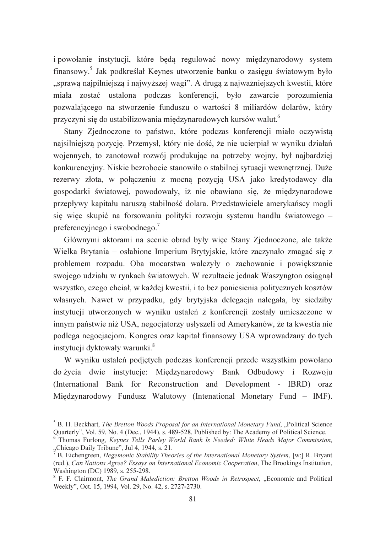i powołanie instytucji, które beda regulować nowy międzynarodowy system finansowy.<sup>5</sup> Jak podkreślał Keynes utworzenie banku o zasięgu światowym było "sprawą najpilniejszą i najwyższej wagi". A drugą z najważniejszych kwestii, które miała zostać ustalona podczas konferencji, było zawarcie porozumienia pozwalającego na stworzenie funduszu o wartości 8 miliardów dolarów, który przyczyni się do ustabilizowania międzynarodowych kursów walut.<sup>6</sup>

Stany Zjednoczone to państwo, które podczas konferencji miało oczywista najsilniejsza pozycje. Przemysł, który nie dość, że nie ucierpiał w wyniku działań wojennych, to zanotował rozwój produkując na potrzeby wojny, był najbardziej konkurencyjny. Niskie bezrobocie stanowiło o stabilnej sytuacji wewnętrznej. Duże rezerwy złota, w połączeniu z mocną pozycją USA jako kredytodawcy dla gospodarki światowej, powodowały, iż nie obawiano się, że międzynarodowe przepływy kapitału narusza stabilność dolara. Przedstawiciele amerykańscy mogli się więc skupić na forsowaniu polityki rozwoju systemu handlu światowego – preferencyjnego i swobodnego.<sup>7</sup>

Głównymi aktorami na scenie obrad były więc Stany Zjednoczone, ale także Wielka Brytania – osłabione Imperium Brytyjskie, które zaczynało zmagać się z problemem rozpadu. Oba mocarstwa walczyły o zachowanie i powiększanie swojego udziału w rynkach światowych. W rezultacie jednak Waszyngton osiągnał wszystko, czego chciał, w każdej kwestii, i to bez poniesienia politycznych kosztów własnych. Nawet w przypadku, gdy brytyjska delegacja nalegała, by siedziby instytucji utworzonych w wyniku ustaleń z konferencji zostały umieszczone w innym państwie niż USA, negocjatorzy usłyszeli od Amerykanów, że ta kwestia nie podlega negocjacjom. Kongres oraz kapitał finansowy USA wprowadzany do tych instytucji dyktowały warunki.<sup>8</sup>

W wyniku ustaleń podjętych podczas konferencji przede wszystkim powołano do życia dwie instytucje: Międzynarodowy Bank Odbudowy i Rozwoju (International Bank for Reconstruction and Development - IBRD) oraz Międzynarodowy Fundusz Walutowy (Intenational Monetary Fund - IMF).

<sup>&</sup>lt;sup>5</sup> B. H. Beckhart, *The Bretton Woods Proposal for an International Monetary Fund*, "Political Science Quarterly", Vol. 59, No. 4 (Dec., 1944), s. 489-528, Published by: The Academy of Political Science.

<sup>&</sup>lt;sup>6</sup> Thomas Furlong, Keynes Tells Parley World Bank Is Needed: White Heads Major Commission, "Chicago Daily Tribune", Jul 4, 1944, s. 21.

<sup>&</sup>lt;sup>7</sup> B. Eichengreen, *Hegemonic Stability Theories of the International Monetary System*, [w:] R. Bryant (red.), Can Nations Agree? Essays on International Economic Cooperation, The Brookings Institution, Washington (DC) 1989, s. 255-298.

<sup>&</sup>lt;sup>8</sup> F. F. Clairmont, *The Grand Malediction: Bretton Woods in Retrospect*, "Economic and Political Weekly", Oct. 15, 1994, Vol. 29, No. 42, s. 2727-2730.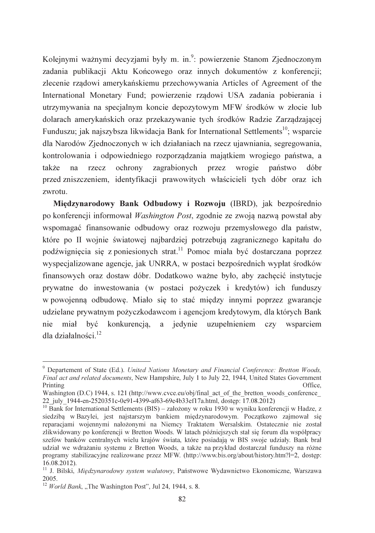Kolejnymi ważnymi decyzjami były m. in.<sup>9</sup>: powierzenie Stanom Zjednoczonym zadania publikacji Aktu Końcowego oraz innych dokumentów z konferencji; zlecenie rządowi amerykańskiemu przechowywania Articles of Agreement of the International Monetary Fund; powierzenie rządowi USA zadania pobierania i utrzymywania na specjalnym koncie depozytowym MFW środków w złocie lub dolarach amerykańskich oraz przekazywanie tych środków Radzie Zarządzającej Funduszu: jak najszybsza likwidacja Bank for International Settlements<sup>10</sup>; wsparcie dla Narodów Zjednoczonych w ich działaniach na rzecz ujawniania, segregowania, kontrolowania i odpowiedniego rozporządzania majatkiem wrogiego państwa, a  $na$ ochrony zagrabionych przez wrogie także rzecz państwo dóbr przed zniszczeniem, identyfikacji prawowitych właścicieli tych dóbr oraz ich zwrotu.

Miedzynarodowy Bank Odbudowy i Rozwoju (IBRD), jak bezpośrednio po konferencii informował *Washington Post*, zgodnie ze zwoja nazwa powstał aby wspomagać finansowanie odbudowy oraz rozwoju przemysłowego dla państw, które po II wojnie światowej najbardziej potrzebują zagranicznego kapitału do podźwignięcia się z poniesionych strat.<sup>11</sup> Pomoc miała być dostarczana poprzez wyspecjalizowane agencje, jak UNRRA, w postaci bezpośrednich wypłat środków finansowych oraz dostaw dóbr. Dodatkowo ważne było, aby zachecić instytucje prywatne do inwestowania (w postaci pożyczek i kredytów) ich funduszy w powojenną odbudowę. Miało się to stać między innymi poprzez gwarancje udzielane prywatnym pożyczkodawcom i agencjom kredytowym, dla których Bank nie miał być konkurencją, a jedynie uzupełnieniem czy wsparciem dla działalności. $^{12}$ 

<sup>&</sup>lt;sup>9</sup> Departement of State (Ed.). United Nations Monetary and Financial Conference: Bretton Woods, Final act and related documents, New Hampshire, July 1 to July 22, 1944, United States Government Printing Office.

Washington (D.C) 1944, s. 121 (http://www.cvce.eu/obj/final act of the bretton woods conference 22 july 1944-en-2520351c-0e91-4399-af63-69e4b33ef17a.html, dostęp: 17.08.2012)

<sup>&</sup>lt;sup>10</sup> Bank for International Settlements (BIS) – założony w roku 1930 w wyniku konferencji w Hadze, z siedziba w Bazylei, jest najstarszym bankiem miedzynarodowym. Poczatkowo zajmował sie reparacjami wojennymi nałożonymi na Niemcy Traktatem Wersalskim. Ostatecznie nie został zlikwidowany po konferencji w Bretton Woods. W latach późniejszych stał się forum dla współpracy szefów banków centralnych wielu krajów świata, które posiadają w BIS swoje udziały. Bank brał udział we wdrażaniu systemu z Bretton Woods, a także na przykład dostarczał funduszy na różne programy stabilizacyjne realizowane przez MFW. (http://www.bis.org/about/history.htm?l=2, dostep:  $16.08.2012$ ).

<sup>&</sup>lt;sup>11</sup> J. Bilski, Międzynarodowy system walutowy, Państwowe Wydawnictwo Ekonomiczne, Warszawa 2005.

 $12$  World Bank, "The Washington Post", Jul 24, 1944, s. 8.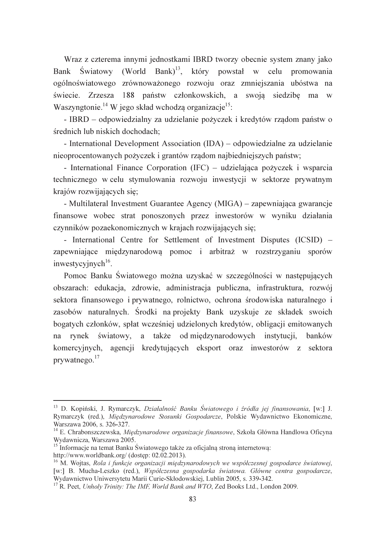Wraz z czterema innymi jednostkami IBRD tworzy obecnie system znany jako Bank Światowy (World Bank)<sup>13</sup>, który powstał w celu promowania ogólnoświatowego zrównoważonego rozwoju oraz zmniejszania ubóstwa na świecie. Zrzesza 188 państw członkowskich, a swoją siedzibę ma w Waszyngtonie.<sup>14</sup> W jego skład wchodzą organizacje<sup>15</sup>:

- IBRD - odpowiedzialny za udzielanie pożyczek i kredytów rządom państw o średnich lub niskich dochodach:

- International Development Association (IDA) – odpowiedzialne za udzielanie nieoprocentowanych pożyczek i grantów rządom najbiedniejszych państw;

- International Finance Corporation (IFC) – udzielająca pożyczek i wsparcia technicznego wcelu stymulowania rozwoju inwestycji w sektorze prywatnym krajów rozwijających się;

- Multilateral Investment Guarantee Agency (MIGA) – zapewniająca gwarancje finansowe wobec strat ponoszonych przez inwestorów w wyniku działania czynników pozaekonomicznych w krajach rozwijających się;

- International Centre for Settlement of Investment Disputes (ICSID) – zapewniające międzynarodową pomoc i arbitraż w rozstrzyganiu sporów inwestycyjnych<sup>16</sup>.

Pomoc Banku Światowego można uzyskać w szczególności w następujących obszarach: edukacja, zdrowie, administracja publiczna, infrastruktura, rozwój sektora finansowego i prywatnego, rolnictwo, ochrona środowiska naturalnego i zasobów naturalnych. Środki na projekty Bank uzyskuje ze składek swoich bogatych członków, spłat wcześniej udzielonych kredytów, obligacji emitowanych na rynek światowy, a także od międzynarodowych instytucji, banków komercyjnych, agencji kredytujących eksport oraz inwestorów z sektora  $prvwatnego.<sup>17</sup>$ 

<sup>&</sup>lt;sup>13</sup> D. Kopiński, J. Rymarczyk, *Działalność Banku Światowego i źródła jej finansowania*, [w:] J. Rymarczyk (red.), Miedzynarodowe Stosunki Gospodarcze, Polskie Wydawnictwo Ekonomiczne, Warszawa 2006, s. 326-327.

<sup>&</sup>lt;sup>14</sup> E. Chrabonszczewska, *Międzynarodowe organizacje finansowe*, Szkoła Główna Handlowa Oficyna Wydawnicza, Warszawa 2005.

<sup>&</sup>lt;sup>15</sup> Informacie na temat Banku Światowego także za oficialna strona internetowa: http://www.worldbank.org/ (dostep: 02.02.2013).

<sup>&</sup>lt;sup>16</sup> M. Wojtas, Rola i funkcje organizacji międzynarodowych we współczesnej gospodarce światowej, [w:] B. Mucha-Leszko (red.), Współczesna gospodarka światowa. Główne centra gospodarcze, Wydawnictwo Uniwersytetu Marii Curie-Skłodowskiej, Lublin 2005, s. 339-342.

<sup>&</sup>lt;sup>17</sup> R. Peet, Unholy Trinity: The IMF, World Bank and WTO, Zed Books Ltd., London 2009.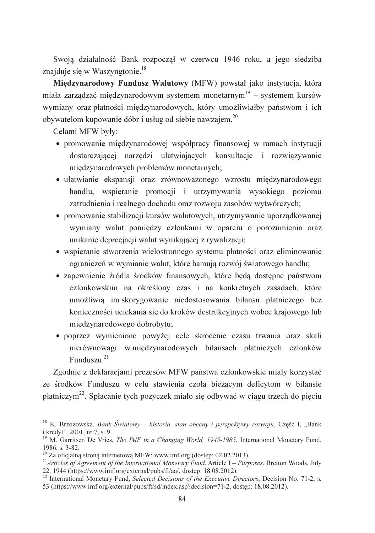Swoja działalność Bank rozpoczał w czerwcu 1946 roku, a jego siedziba znajduje się w Waszyngtonie.<sup>18</sup>

Międzynarodowy Fundusz Walutowy (MFW) powstał jako instytucja, która miała zarządzać miedzynarodowym systemem monetarnym<sup>19</sup> – systemem kursów wymiany oraz płatności międzynarodowych, który umożliwiałby państwom i ich obywatelom kupowanie dóbr i usług od siebie nawzajem.<sup>20</sup>

Celami MFW były:

- promowanie międzynarodowej współpracy finansowej w ramach instytucji dostarczającej narzędzi ułatwiających konsultacje i rozwiązywanie miedzynarodowych problemów monetarnych;
- · ułatwianie ekspansii oraz zrównoważonego wzrostu miedzynarodowego handlu, wspieranie promocji i utrzymywania wysokiego poziomu zatrudnienia i realnego dochodu oraz rozwoju zasobów wytwórczych;
- promowanie stabilizacji kursów walutowych, utrzymywanie uporządkowanej wymiany walut pomiędzy członkami w oparciu o porozumienia oraz unikanie deprecjacji walut wynikającej z rywalizacji;
- · wspieranie stworzenia wielostronnego systemu płatności oraz eliminowanie ograniczeń w wymianie walut, które hamują rozwój światowego handlu;
- zapewnienie źródła środków finansowych, które beda dostepne państwom członkowskim na określony czas i na konkretnych zasadach, które umożliwią im skorygowanie niedostosowania bilansu płatniczego bez konieczności uciekania się do kroków destrukcyjnych wobec krajowego lub międzynarodowego dobrobytu;
- · poprzez wymienione powyżej cele skrócenie czasu trwania oraz skali nierównowagi w międzynarodowych bilansach płatniczych członków Funduszu. $21$

Zgodnie z deklaracjami prezesów MFW państwa członkowskie miały korzystać ze środków Funduszu w celu stawienia czoła bieżącym deficytom w bilansie płatniczym<sup>22</sup>. Spłacanie tych pożyczek miało się odbywać w ciągu trzech do pięciu

<sup>22</sup> International Monetary Fund, Selected Decisions of the Executive Directors, Decision No. 71-2, s. 53 (https://www.imf.org/external/pubs/ft/sd/index.asp?decision=71-2, dostep: 18.08.2012).

<sup>&</sup>lt;sup>18</sup> K. Brzozowska, *Bank Światowy – historia, stan obecny i perspektywy rozwoju*, Część I, "Bank i kredyt", 2001, nr 7, s. 9.

<sup>&</sup>lt;sup>19</sup> M. Garritsen De Vries. *The IMF in a Changing World.* 1945-1985. International Monetary Fund. 1986, s. 3-82.

 $20$  Za oficialna strona internetowa MFW: www.imf.org (dostep: 02.02.2013).

<sup>&</sup>lt;sup>21</sup>Articles of Agreement of the International Monetary Fund, Article I – Purposes, Bretton Woods, July 22, 1944 (https://www.imf.org/external/pubs/ft/aa/, dostep: 18.08.2012).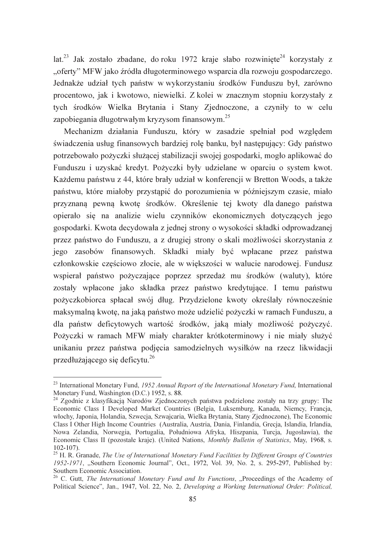$lat.^{23}$  Jak zostało zbadane, do roku 1972 kraje słabo rozwiniete<sup>24</sup> korzystały z "oferty" MFW jako źródła długoterminowego wsparcia dla rozwoju gospodarczego. Jednakże udział tych państw w wykorzystaniu środków Funduszu był, zarówno procentowo, jak i kwotowo, niewielki. Z kolei w znacznym stopniu korzystały z tych środków Wielka Brytania i Stany Zjednoczone, a czyniły to w celu zapobiegania długotrwałym kryzysom finansowym.<sup>25</sup>

Mechanizm działania Funduszu, który w zasadzie spełniał pod względem świadczenia usług finansowych bardziej rolę banku, był następujący: Gdy państwo potrzebowało pożyczki służącej stabilizacji swojej gospodarki, mogło aplikować do Funduszu i uzyskać kredyt. Pożyczki były udzielane w oparciu o system kwot. Każdemu państwu z 44, które brały udział w konferencji w Bretton Woods, a także państwu, które miałoby przystąpić do porozumienia w późniejszym czasie, miało przyznana pewną kwotę środków. Określenie tej kwoty dla danego państwa opierało się na analizie wielu czynników ekonomicznych dotyczących jego gospodarki. Kwota decydowała z jednej strony o wysokości składki odprowadzanej przez państwo do Funduszu, a z drugiej strony o skali możliwości skorzystania z jego zasobów finansowych. Składki miały być wpłacane przez państwa członkowskie częściowo złocie, ale w większości w walucie narodowej. Fundusz wspierał państwo pożyczające poprzez sprzedaż mu środków (waluty), które zostały wpłacone jako składka przez państwo kredytujące. I temu państwu pożyczkobiorca spłacał swój dług. Przydzielone kwoty określały równocześnie maksymalną kwotę, na jaką państwo może udzielić pożyczki w ramach Funduszu, a dla państw deficytowych wartość środków, jaka miały możliwość pożyczyć. Pożyczki w ramach MFW miały charakter krótkoterminowy i nie miały służyć unikaniu przez państwa podjęcia samodzielnych wysiłków na rzecz likwidacji przedłużającego się deficytu.<sup>26</sup>

<sup>&</sup>lt;sup>23</sup> International Monetary Fund, 1952 Annual Report of the International Monetary Fund, International Monetary Fund, Washington (D.C.) 1952, s. 88.

<sup>&</sup>lt;sup>24</sup> Zgodnie z klasyfikacją Narodów Zjednoczonych państwa podzielone zostały na trzy grupy: The Economic Class I Developed Market Countries (Belgia, Luksemburg, Kanada, Niemcy, Francia, włochy, Japonia, Holandia, Szwecja, Szwajcaria, Wielka Brytania, Stany Zjednoczone), The Economic Class I Other High Income Countries (Australia, Austria, Dania, Finlandia, Grecja, Islandia, Irlandia, Nowa Zelandia, Norwegia, Portugalia, Południowa Afryka, Hiszpania, Turcja, Jugosławia), the Economic Class II (pozostałe kraje). (United Nations, *Monthly Bulletin of Statistics*, May, 1968, s.  $102 - 107$ ).

<sup>&</sup>lt;sup>25</sup> H. R. Granade, *The Use of International Monetary Fund Facilities by Different Groups of Countries* 1952-1971, "Southern Economic Journal", Oct., 1972, Vol. 39, No. 2, s. 295-297, Published by: Southern Economic Association.

<sup>&</sup>lt;sup>26</sup> C. Gutt, *The International Monetary Fund and Its Functions*, "Proceedings of the Academy of Political Science", Jan., 1947, Vol. 22, No. 2, Developing a Working International Order: Political,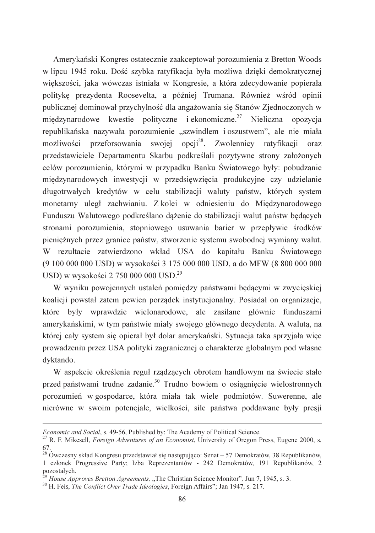Amerykański Kongres ostatecznie zaakceptował porozumienia z Bretton Woods w lipcu 1945 roku. Dość szybka ratyfikacja była możliwa dzięki demokratycznej większości, jaka wówczas istniała w Kongresie, a która zdecydowanie popierała politykę prezydenta Roosevelta, a później Trumana. Również wśród opinii publicznej dominował przychylność dla angażowania się Stanów Zjednoczonych w międzynarodowe kwestie polityczne i ekonomiczne.<sup>27</sup> Nieliczna opozycia republikańska nazywała porozumienie "szwindlem i oszustwem", ale nie miała możliwości przeforsowania swojej opcji<sup>28</sup>. Zwolennicy ratyfikacji oraz przedstawiciele Departamentu Skarbu podkreślali pozytywne strony założonych celów porozumienia, którymi w przypadku Banku Światowego były: pobudzanie miedzynarodowych inwestycji w przedsiewzjecia produkcyjne czy udzielanie długotrwałych kredytów w celu stabilizacji waluty państw, których system monetarny uległ zachwianiu. Z kolej w odniesieniu do Miedzynarodowego Funduszu Walutowego podkreślano dążenie do stabilizacji walut państw będących stronami porozumienia, stopniowego usuwania barier w przepływie środków pieniężnych przez granice państw, stworzenie systemu swobodnej wymiany walut. W rezultacie zatwierdzono wkład USA do kapitału Banku Światowego (9 100 000 000 USD) w wysokości 3 175 000 000 USD, a do MFW (8 800 000 000 USD) w wysokości 2 750 000 000 USD.<sup>29</sup>

W wyniku powojennych ustaleń pomiędzy państwami będącymi w zwycięskiej koalicji powstał zatem pewien porządek instytucjonalny. Posiadał on organizacje, które były wprawdzie wielonarodowe, ale zasilane głównie funduszami amerykańskimi, w tym państwie miały swojego głównego decydenta. A waluta, na której cały system się opierał był dolar amerykański. Sytuacja taka sprzyjała więc prowadzeniu przez USA polityki zagranicznej o charakterze globalnym pod własne dyktando.

W aspekcie określenia reguł rządzących obrotem handlowym na świecie stało przed państwami trudne zadanie.<sup>30</sup> Trudno bowiem o osiągnięcie wielostronnych porozumień w gospodarce, która miała tak wiele podmiotów. Suwerenne, ale nierówne w swoim potencjale, wielkości, sile państwa poddawane były presji

*Economic and Social*, s. 49-56, Published by: The Academy of Political Science.<br><sup>27</sup> R. F. Mikesell, *Foreign Adventures of an Economist*, University of Oregon Press, Eugene 2000, s. 67.

 $^{28}$  Ówczesny skład Kongresu przedstawiał się następująco: Senat – 57 Demokratów, 38 Republikanów, 1 członek Progressiye Party; Izba Reprezentantów - 242 Demokratów, 191 Republikanów, 2 pozostałych.

 $\beta$  House Approves Bretton Agreements, "The Christian Science Monitor", Jun 7, 1945, s. 3.

<sup>&</sup>lt;sup>30</sup> H. Feis. *The Conflict Over Trade Ideologies*, Foreign Affairs"; Jan 1947, s. 217.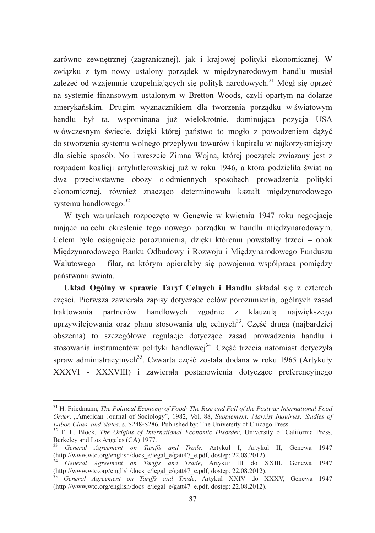zarówno zewnetrznej (zagranicznej), jak i krajowej polityki ekonomicznej. W związku z tym nowy ustalony porządek w międzynarodowym handlu musiał zależeć od wzajemnie uzupełniających się polityk narodowych.<sup>31</sup> Mógł się oprzeć na systemie finansowym ustalonym w Bretton Woods, czyli opartym na dolarze amerykańskim. Drugim wyznacznikiem dla tworzenia porządku w światowym handlu był ta, wspominana już wielokrotnie, dominująca pozycja USA w ówczesnym świecie, dzieki której państwo to mogło z powodzeniem dażyć do stworzenia systemu wolnego przepływu towarów i kapitału w najkorzystniejszy dla siebie sposób. No i wreszcie Zimna Wojna, której początek związany jest z rozpadem koalicji antyhitlerowskiej już w roku 1946, a która podzieliła świat na dwa przeciwstawne obozy o odmiennych sposobach prowadzenia polityki ekonomicznej, również znacząco determinowała kształt międzynarodowego systemu handlowego. $32$ 

W tych warunkach rozpoczeto w Genewie w kwietniu 1947 roku negociacie mające na celu określenie tego nowego porządku w handlu międzynarodowym. Celem było osiągnięcie porozumienia, dzięki któremu powstałby trzeci – obok Międzynarodowego Banku Odbudowy i Rozwoju i Międzynarodowego Funduszu Walutowego - filar, na którym opierałaby się powojenna współpraca pomiędzy państwami świata.

Układ Ogólny w sprawie Taryf Celnych i Handlu składał się z czterech części. Pierwsza zawierała zapisy dotyczące celów porozumienia, ogólnych zasad traktowania partnerów handlowych zgodnie z klauzula największego uprzywilejowania oraz planu stosowania ulg celnych<sup>33</sup>. Część druga (najbardziej obszerna) to szczegółowe regulacje dotyczące zasad prowadzenia handlu i stosowania instrumentów polityki handlowej<sup>34</sup>. Część trzecia natomiast dotyczyła spraw administracyjnych<sup>35</sup>. Czwarta część została dodana w roku 1965 (Artykuły XXXVI - XXXVIII) i zawierała postanowienia dotyczące preferencyjnego

 $31$  H. Friedmann, *The Political Economy of Food: The Rise and Fall of the Postwar International Food* Order, "American Journal of Sociology", 1982, Vol. 88, Supplement: Marxist Inquiries: Studies of Labor, Class, and States, s. S248-S286, Published by: The University of Chicago Press.

<sup>&</sup>lt;sup>32</sup> F. L. Block, *The Origins of International Economic Disorder*, University of California Press, Berkeley and Los Angeles (CA) 1977.

<sup>&</sup>lt;sup>33</sup> General Agreement on Tariffs and Trade, Artykuł I, Artykuł II, Genewa 1947 (http://www.wto.org/english/docs e/legal e/gatt47 e.pdf, dostęp: 22.08.2012).

General Agreement on Tariffs and Trade, Artykul III do XXIII, Genewa 1947 (http://www.wto.org/english/docs e/legal e/gatt47 e.pdf, dostęp: 22.08.2012).

General Agreement on Tariffs and Trade, Artykuł XXIV do XXXV, Genewa 1947 (http://www.wto.org/english/docs e/legal e/gatt47 e.pdf, dostęp: 22.08.2012).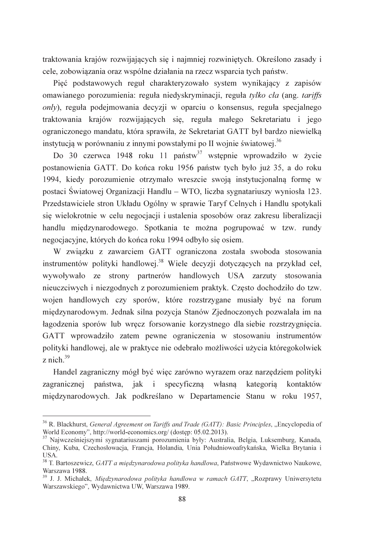traktowania krajów rozwijających się i najmniej rozwiniętych. Określono zasady i cele, zobowiązania oraz wspólne działania na rzecz wsparcia tych państw.

Pięć podstawowych reguł charakteryzowało system wynikający z zapisów omawianego porozumienia: reguła niedyskryminacji, reguła tylko cła (ang. tariffs only), reguła podejmowania decyzji w oparciu o konsensus, reguła specjalnego traktowania krajów rozwijających się, reguła małego Sekretariatu i jego ograniczonego mandatu, która sprawiła, że Sekretariat GATT był bardzo niewielka instytucia w porównaniu z innymi powstałymi po II wojnie światowej.<sup>36</sup>

Do 30 czerwca 1948 roku 11 państw<sup>37</sup> wstępnie wprowadziło w życie postanowienia GATT. Do końca roku 1956 państw tych było już 35, a do roku 1994, kiedy porozumienie otrzymało wreszcie swoja instytucionalna forme w postaci Światowej Organizacji Handlu – WTO, liczba sygnatariuszy wyniosła 123. Przedstawiciele stron Układu Ogólny w sprawie Taryf Celnych i Handlu spotykali się wielokrotnie w celu negocjacji i ustalenia sposobów oraz zakresu liberalizacji handlu międzynarodowego. Spotkania te można pogrupować w tzw. rundy negocjacyjne, których do końca roku 1994 odbyło się osiem.

W związku z zawarciem GATT ograniczona została swoboda stosowania instrumentów polityki handlowej.<sup>38</sup> Wiele decyzji dotyczących na przykład ceł, wywoływało ze strony partnerów handlowych USA zarzuty stosowania nieuczciwych i niezgodnych z porozumieniem praktyk. Często dochodziło do tzw. wojen handlowych czy sporów, które rozstrzygane musiały być na forum międzynarodowym. Jednak silna pozycja Stanów Zjednoczonych pozwalała im na łagodzenia sporów lub wręcz forsowanie korzystnego dla siebie rozstrzygnięcia. GATT wprowadziło zatem pewne ograniczenia w stosowaniu instrumentów polityki handlowej, ale w praktyce nie odebrało możliwości użycia któregokolwiek z nich. $39$ 

Handel zagraniczny mógł być więc zarówno wyrazem oraz narzędziem polityki zagranicznej państwa, jak i specyficzna własna kategoria kontaktów międzynarodowych. Jak podkreślano w Departamencie Stanu w roku 1957,

<sup>&</sup>lt;sup>36</sup> R. Blackhurst, *General Agreement on Tariffs and Trade (GATT): Basic Principles, "Encyclopedia of* World Economy", http://world-economics.org/ (dostęp: 05.02.2013).<br><sup>37</sup> Najwcześniejszymi sygnatariuszami porozumienia były: Australia, Belgia, Luksemburg, Kanada,

Chiny, Kuba, Czechosłowacja, Francja, Holandia, Unia Południowoafrykańska, Wielka Brytania i **IISA** 

<sup>&</sup>lt;sup>38</sup> T. Bartoszewicz, GATT a międzynarodowa polityka handlowa, Państwowe Wydawnictwo Naukowe, Warszawa 1988.

<sup>&</sup>lt;sup>39</sup> J. J. Michałek, *Międzynarodowa polityka handlowa w ramach GATT*, "Rozprawy Uniwersytetu Warszawskiego", Wydawnictwa UW, Warszawa 1989.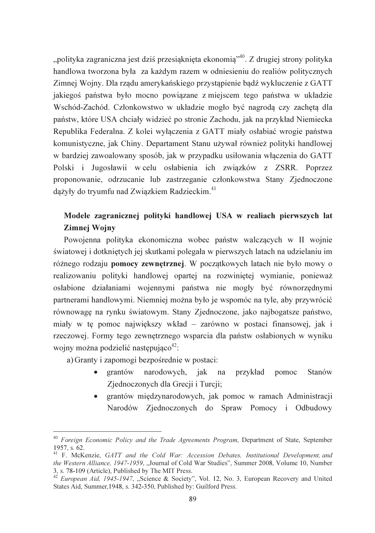"polityka zagraniczna jest dziś przesiaknięta ekonomia"<sup>40</sup>. Z drugiej strony polityka handlowa tworzona była za każdym razem w odniesieniu do realiów politycznych Zimnej Wojny. Dla rządu amerykańskiego przystąpienie bądź wykluczenie z GATT jakiegoś państwa było mocno powiazane z miejscem tego państwa w układzie Wschód-Zachód. Członkowstwo w układzie mogło być nagrodą czy zachętą dla państw, które USA chciały widzieć po stronie Zachodu, jak na przykład Niemiecka Republika Federalna. Z kolei wyłaczenia z GATT miały osłabiać wrogie państwa komunistyczne, jak Chiny. Departament Stanu używał również polityki handlowej w bardziej zawoalowany sposób, jak w przypadku usiłowania właczenia do GATT Polski i Jugosławii w celu osłabienia ich związków z ZSRR. Poprzez proponowanie, odrzucanie lub zastrzeganie członkowstwa Stany Ziednoczone dążyły do tryumfu nad Związkiem Radzieckim.<sup>41</sup>

## Modele zagranicznej polityki handlowej USA w realiach pierwszych lat Zimnej Wojny

Powojenna polityka ekonomiczna wobec państw walczących w II wojnie światowej i dotkniętych jej skutkami polegała w pierwszych latach na udzielaniu im różnego rodzaju pomocy zewnętrznej. W początkowych latach nie było mowy o realizowaniu polityki handlowej opartej na rozwinietej wymianie, ponieważ osłabione działaniami wojennymi państwa nie mogły być równorzędnymi partnerami handlowymi. Niemniej można było je wspomóc na tyle, aby przywrócić równowagę na rynku światowym. Stany Zjednoczone, jako najbogatsze państwo, miały w tę pomoc największy wkład – zarówno w postaci finansowej, jak i rzeczowej. Formy tego zewnętrznego wsparcia dla państw osłabionych w wyniku wojny można podzielić następująco<sup>42</sup>:

a) Granty i zapomogi bezpośrednie w postaci:

- narodowych, jak przykład grantów na pomoc Stanów Zjednoczonych dla Grecji i Turcji;
- · grantów międzynarodowych, jak pomoc w ramach Administracji Narodów Zjednoczonych do Spraw Pomocy i Odbudowy

<sup>&</sup>lt;sup>40</sup> Foreign Economic Policy and the Trade Agreements Program, Department of State, September 1957, s. 62.

<sup>&</sup>lt;sup>41</sup> F. McKenzie, GATT and the Cold War: Accession Debates, Institutional Development, and the Western Alliance, 1947-1959, "Journal of Cold War Studies", Summer 2008, Volume 10, Number 3, s. 78-109 (Article), Published by The MIT Press.

<sup>&</sup>lt;sup>42</sup> *European Aid, 1945-1947*, "Science & Society", Vol. 12, No. 3, European Recovery and United States Aid, Summer 1948, s. 342-350, Published by: Guilford Press.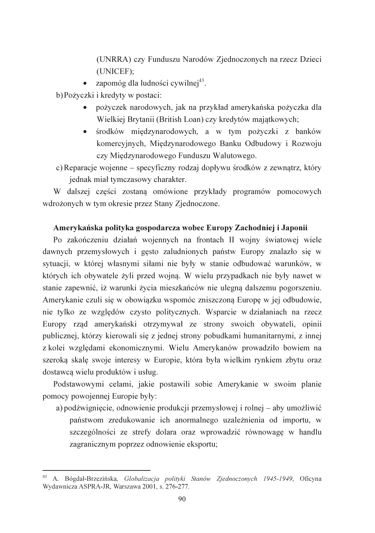(UNRRA) czy Funduszu Narodów Zjednoczonych na rzecz Dzieci (UNICEF);

 $\bullet$  zapomóg dla ludności cywilnej<sup>43</sup>.

b) Pożyczki i kredyty w postaci:

- pożyczek narodowych, jak na przykład amerykańska pożyczka dla Wielkiej Brytanii (British Loan) czy kredytów majątkowych;
- środków międzynarodowych, a w tym pożyczki z banków komercyjnych, Międzynarodowego Banku Odbudowy i Rozwoju czy Międzynarodowego Funduszu Walutowego.
- c) Reparacje wojenne specyficzny rodzaj dopływu środków z zewnątrz, który jednak miał tymczasowy charakter.

W dalszej części zostaną omówione przykłady programów pomocowych wdrożonych w tym okresie przez Stany Zjednoczone.

## Amerykańska polityka gospodarcza wobec Europy Zachodniej i Japonii

Po zakończeniu działań wojennych na frontach II wojny światowej wiele dawnych przemysłowych i gęsto zaludnionych państw Europy znalazło się w sytuacji, w której własnymi siłami nie były w stanie odbudować warunków, w których ich obywatele żyli przed wojną. W wielu przypadkach nie były nawet w stanie zapewnić, iż warunki życia mieszkańców nie ulegną dalszemu pogorszeniu. Amerykanie czuli się w obowiązku wspomóc zniszczoną Europę w jej odbudowie, nie tylko ze względów czysto politycznych. Wsparcie w działaniach na rzecz Europy rząd amerykański otrzymywał ze strony swoich obywateli, opinii publicznej, którzy kierowali się z jednej strony pobudkami humanitarnymi, z innej z kolei względami ekonomicznymi. Wielu Amerykanów prowadziło bowiem na szeroką skalę swoje interesy w Europie, która była wielkim rynkiem zbytu oraz dostawcą wielu produktów i usług.

Podstawowymi celami, jakie postawili sobie Amerykanie w swoim planie pomocy powojennej Europie były:

a) podźwignięcie, odnowienie produkcji przemysłowej i rolnej – aby umożliwić państwom zredukowanie ich anormalnego uzależnienia od importu, w szczególności ze strefy dolara oraz wprowadzić równowagę w handlu zagranicznym poprzez odnowienie eksportu;

<sup>43</sup> A. Bógdał-Brzezińska, Globalizacja polityki Stanów Zjednoczonych 1945-1949, Oficyna Wydawnicza ASPRA-JR. Warszawa 2001. s. 276-277.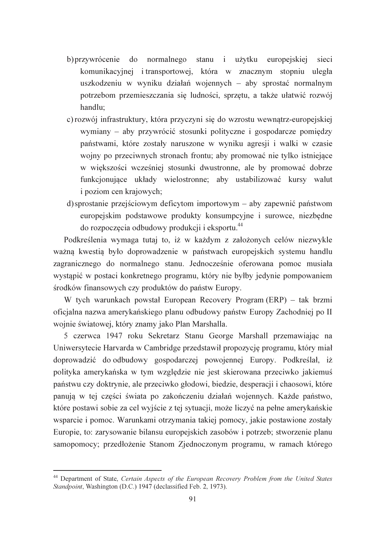- b) przywrócenie do normalnego stanu i użytku europejskiej sieci komunikacyjnej i transportowej, która w znacznym stopniu uległa uszkodzeniu w wyniku działań wojennych – aby sprostać normalnym potrzebom przemieszczania się ludności, sprzętu, a także ułatwić rozwój handlu:
- c) rozwój infrastruktury, która przyczyni się do wzrostu wewnątrz-europejskiej wymiany – aby przywrócić stosunki polityczne i gospodarcze pomiędzy państwami, które zostały naruszone w wyniku agresji i walki w czasie wojny po przeciwnych stronach frontu; aby promować nie tylko istniejące w wiekszości wcześniej stosunki dwustronne, ale by promować dobrze funkcionujące układy wielostronne: aby ustabilizować kursy walut *i* poziom cen krajowych;
- d) sprostanie przejściowym deficytom importowym aby zapewnić państwom europejskim podstawowe produkty konsumpcyjne i surowce, niezbędne do rozpoczęcia odbudowy produkcji i eksportu.<sup>44</sup>

Podkreślenia wymaga tutaj to, iż w każdym z założonych celów niezwykle ważną kwestią było doprowadzenie w państwach europejskich systemu handlu zagranicznego do normalnego stanu. Jednocześnie oferowana pomoc musiała wystąpić w postaci konkretnego programu, który nie byłby jedynie pompowaniem środków finansowych czy produktów do państw Europy.

W tych warunkach powstał European Recovery Program (ERP) – tak brzmi oficialna nazwa amerykańskiego planu odbudowy państw Europy Zachodniej po II wojnie światowej, który znamy jako Plan Marshalla.

5 czerwca 1947 roku Sekretarz Stanu George Marshall przemawiając na Uniwersytecie Harvarda w Cambridge przedstawił propozycję programu, który miał doprowadzić do odbudowy gospodarczej powojennej Europy. Podkreślał, iż polityka amerykańska w tym względzie nie jest skierowana przeciwko jakiemuś państwu czy doktrynie, ale przeciwko głodowi, biedzie, desperacji i chaosowi, które panuja w tej części świata po zakończeniu działań wojennych. Każde państwo, które postawi sobie za cel wyjście z tej sytuacji, może liczyć na pełne amerykańskie wsparcie i pomoc. Warunkami otrzymania takiej pomocy, jakie postawione zostały Europie, to: zarysowanie bilansu europejskich zasobów i potrzeb; stworzenie planu samopomocy; przedłożenie Stanom Zjednoczonym programu, w ramach którego

<sup>&</sup>lt;sup>44</sup> Department of State, Certain Aspects of the European Recovery Problem from the United States Standpoint, Washington (D.C.) 1947 (declassified Feb. 2. 1973).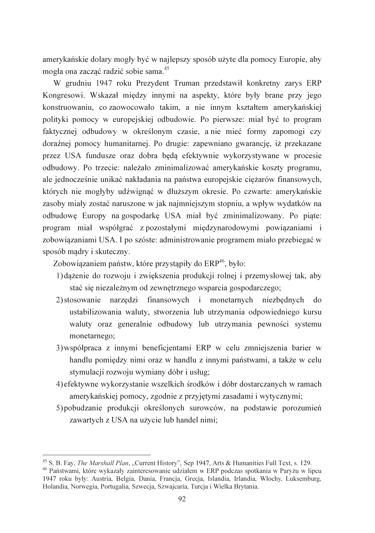amerykańskie dolary mogły być w najlepszy sposób użyte dla pomocy Europie, aby mogła ona zacząć radzić sobie sama.<sup>45</sup>

W grudniu 1947 roku Prezydent Truman przedstawił konkretny zarys ERP Kongresowi. Wskazał miedzy innymi na aspekty, które były brane przy jego konstruowaniu, co zaowocowało takim, a nie innym kształtem amerykańskiej polityki pomocy w europejskiej odbudowie. Po pierwsze: miał być to program faktycznej odbudowy w określonym czasie, a nie mieć formy zapomogi czy doraźnej pomocy humanitarnej. Po drugie: zapewniano gwarancje, iż przekazane przez USA fundusze oraz dobra będą efektywnie wykorzystywane w procesie odbudowy. Po trzecie: należało zminimalizować amerykańskie koszty programu, ale jednocześnie unikać nakładania na państwa europejskie cieżarów finansowych. których nie mogłyby udźwignąć w dłuższym okresie. Po czwarte: amerykańskie zasoby miały zostać naruszone w jak najmniejszym stopniu, a wpływ wydatków na odbudowę Europy na gospodarkę USA miał być zminimalizowany. Po piąte: program miał współgrać z pozostałymi międzynarodowymi powiązaniami i zobowiązaniami USA. I po szóste: administrowanie programem miało przebiegać w sposób madry i skuteczny.

Zobowiązaniem państw, które przystąpiły do ERP<sup>46</sup>, było:

- 1) daženie do rozwoju i zwiekszenia produkcji rolnej i przemysłowej tak, aby stać się niezależnym od zewnętrznego wsparcia gospodarczego;
- 2) stosowanie narzędzi finansowych i monetarnych niezbędnych  $d\Omega$ ustabilizowania waluty, stworzenia lub utrzymania odpowiedniego kursu waluty oraz generalnie odbudowy lub utrzymania pewności systemu monetarnego;
- 3) współpraca z innymi beneficjentami ERP w celu zmniejszenia barier w handlu pomiędzy nimi oraz w handlu z innymi państwami, a także w celu stymulacji rozwoju wymiany dóbr i usług;
- 4) efektywne wykorzystanie wszelkich środków i dóbr dostarczanych w ramach amerykańskiej pomocy, zgodnie z przyjętymi zasadami i wytycznymi;
- 5) pobudzanie produkcji określonych surowców, na podstawie porozumień zawartych z USA na użycie lub handel nimi;

<sup>&</sup>lt;sup>45</sup> S. B. Fay, *The Marshall Plan*, "Current History", Sep 1947, Arts & Humanities Full Text, s. 129.

<sup>&</sup>lt;sup>46</sup> Państwami, które wykazały zainteresowanie udziałem w ERP podczas spotkania w Paryżu w lipcu 1947 roku były: Austria, Belgia, Dania, Francja, Grecja, Islandia, Irlandia, Włochy, Luksemburg, Holandia, Norwegia, Portugalia, Szwecja, Szwajcaria, Turcja i Wielka Brytania.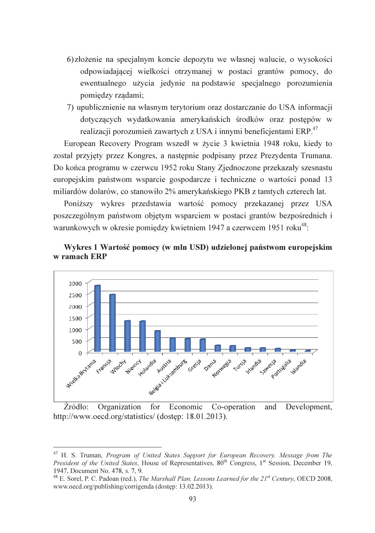- 6) złożenie na specjalnym koncie depozytu we własnej walucie, o wysokości odpowiadającej wielkości otrzymanej w postaci grantów pomocy, do ewentualnego użycia jedynie na podstawie specjalnego porozumienia pomiędzy rządami;
- 7) upublicznienie na własnym terytorium oraz dostarczanie do USA informacji dotyczących wydatkowania amerykańskich środków oraz postępów w realizacji porozumień zawartych z USA i innymi beneficientami ERP.<sup>47</sup>

European Recovery Program wszedł w życie 3 kwietnia 1948 roku, kiedy to został przyjęty przez Kongres, a następnie podpisany przez Prezydenta Trumana. Do końca programu w czerwcu 1952 roku Stany Zjednoczone przekazały szesnastu europeiskim państwom wsparcie gospodarcze i techniczne o wartości ponad 13 miliardów dolarów, co stanowiło 2% amerykańskiego PKB z tamtych czterech lat.

Poniższy wykres przedstawia wartość pomocy przekazanej przez USA poszczególnym państwom objetym wsparciem w postaci grantów bezpośrednich i warunkowych w okresie pomiędzy kwietniem 1947 a czerwcem 1951 roku<sup>48</sup>:





Development, Źródło: Organization for Economic Co-operation and http://www.oecd.org/statistics/ (dostep: 18.01.2013).

<sup>&</sup>lt;sup>47</sup> H. S. Truman, *Program of United States Support for European Recovery. Message from The President of the United States, House of Representatives, 80<sup>th</sup> Congress, 1<sup>st</sup> Session, December 19,* 1947, Document No. 478, s. 7, 9.

<sup>&</sup>lt;sup>48</sup> E. Sorel, P. C. Padoan (red.), *The Marshall Plan. Lessons Learned for the*  $21^{st}$  *Century*, OECD 2008, www.oecd.org/publishing/corrigenda (dostep: 13.02.2013).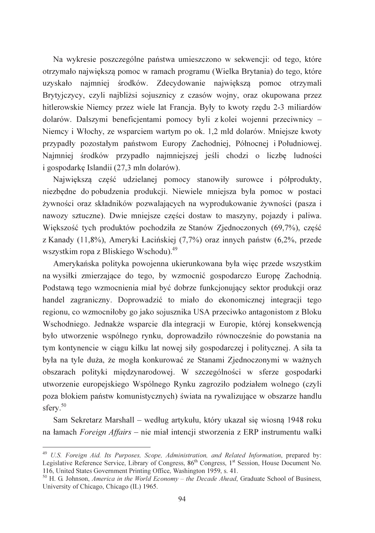Na wykresie poszczególne państwa umieszczono w sekwencji: od tego, które otrzymało największą pomoc w ramach programu (Wielka Brytania) do tego, które uzyskało najmniej środków. Zdecydowanie największą pomoc otrzymali Brytyjczycy, czyli najbliżsi sojusznicy z czasów wojny, oraz okupowana przez hitlerowskie Niemcy przez wiele lat Francja. Były to kwoty rzędu 2-3 miliardów dolarów. Dalszymi beneficjentami pomocy byli z kolei wojenni przeciwnicy – Niemcy i Włochy, ze wsparciem wartym po ok. 1.2 mld dolarów. Mniejsze kwoty przypadły pozostałym państwom Europy Zachodniej, Północnej i Południowej. Najmniej środków przypadło najmniejszej jeśli chodzi o liczbę ludności i gospodarkę Islandii (27,3 mln dolarów).

Najwieksza cześć udzielanej pomocy stanowiły surowce i półprodukty, niezbędne do pobudzenia produkcji. Niewiele mniejsza była pomoc w postaci żywności oraz składników pozwalających na wyprodukowanie żywności (pasza i nawozy sztuczne). Dwie mniejsze części dostaw to maszyny, pojazdy i paliwa. Większość tych produktów pochodziła ze Stanów Zjednoczonych (69,7%), część z Kanady (11,8%), Ameryki Łacińskiej (7,7%) oraz innych państw (6,2%, przede wszystkim ropa z Bliskiego Wschodu).<sup>49</sup>

Amerykańska polityka powojenna ukierunkowana była więc przede wszystkim na wysiłki zmierzające do tego, by wzmocnić gospodarczo Europe Zachodnia. Podstawa tego wzmocnienia miał być dobrze funkcjonujący sektor produkcji oraz handel zagraniczny. Doprowadzić to miało do ekonomicznej integracji tego regionu, co wzmocniłoby go jako sojusznika USA przeciwko antagonistom z Bloku Wschodniego. Jednakże wsparcie dla integracji w Europie, której konsekwencja było utworzenie wspólnego rynku, doprowadziło równocześnie do powstania na tym kontynencie w ciągu kilku lat nowej siły gospodarczej i politycznej. A siła ta była na tyle duża, że mogła konkurować ze Stanami Zjednoczonymi w ważnych obszarach polityki międzynarodowej. W szczególności w sferze gospodarki utworzenie europejskiego Wspólnego Rynku zagroziło podziałem wolnego (czyli poza blokiem państw komunistycznych) świata na rywalizujące w obszarze handlu sferv. $50$ 

Sam Sekretarz Marshall – według artykułu, który ukazał się wiosną 1948 roku na łamach Foreign Affairs – nie miał intencji stworzenia z ERP instrumentu walki

<sup>&</sup>lt;sup>49</sup> U.S. Foreign Aid. Its Purposes, Scope, Administration, and Related Information, prepared by: Legislative Reference Service, Library of Congress, 86<sup>th</sup> Congress, 1<sup>st</sup> Session, House Document No. 116, United States Government Printing Office, Washington 1959, s. 41.

<sup>&</sup>lt;sup>50</sup> H. G. Johnson, *America in the World Economy – the Decade Ahead*, Graduate School of Business, University of Chicago, Chicago (IL) 1965.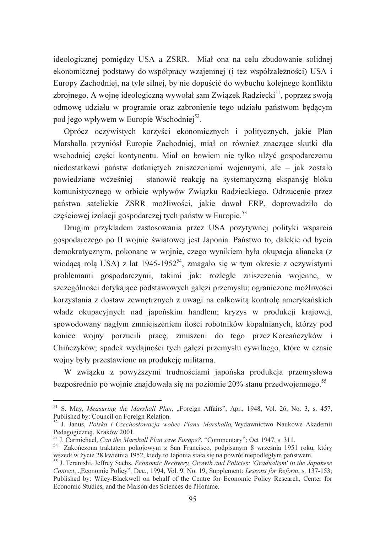ideologicznej pomiędzy USA a ZSRR. Miał ona na celu zbudowanie solidnej ekonomicznej podstawy do współpracy wzajemnej (i też współzależności) USA i Europy Zachodniej, na tyle silnej, by nie dopuścić do wybuchu kolejnego konfliktu zbrojnego. A wojne ideologiczna wywołał sam Związek Radziecki<sup>51</sup>, poprzez swoja odmowę udziału w programie oraz zabronienie tego udziału państwom będącym pod jego wpływem w Europie Wschodniej<sup>52</sup>.

Oprócz oczywistych korzyści ekonomicznych i politycznych, jakie Plan Marshalla przyniósł Europie Zachodniej, miał on również znaczące skutki dla wschodniej części kontynentu. Miał on bowiem nie tylko ulżyć gospodarczemu niedostatkowi państw dotkniętych zniszczeniami wojennymi, ale – jak zostało powiedziane wcześniej – stanowić reakcję na systematyczną ekspansję bloku komunistycznego w orbicie wpływów Związku Radzieckiego. Odrzucenie przez państwa satelickie ZSRR możliwości, jakie dawał ERP, doprowadziło do częściowej izolacji gospodarczej tych państw w Europie.<sup>53</sup>

Drugim przykładem zastosowania przez USA pozytywnej polityki wsparcia gospodarczego po II wojnie światowej jest Japonia. Państwo to, dalekie od bycia demokratycznym, pokonane w wojnie, czego wynikiem była okupacja aliancka (z wiodącą rolą USA) z lat 1945-1952<sup>54</sup>, zmagało się w tym okresie z oczywistymi problemami gospodarczymi, takimi jak: rozległe zniszczenia wojenne, w szczególności dotykające podstawowych gałęzi przemysłu; ograniczone możliwości korzystania z dostaw zewnętrznych z uwagi na całkowitą kontrolę amerykańskich władz okupacyjnych nad japońskim handlem; kryzys w produkcji krajowej, spowodowany nagłym zmniejszeniem ilości robotników kopalnianych, którzy pod koniec wojny porzucili pracę, zmuszeni do tego przez Koreańczyków i Chińczyków; spadek wydajności tych gałęzi przemysłu cywilnego, które w czasie wojny były przestawione na produkcję militarną.

W związku z powyższymi trudnościami japońska produkcja przemysłowa bezpośrednio po wojnie znajdowała się na poziomie 20% stanu przedwojennego.<sup>55</sup>

<sup>&</sup>lt;sup>51</sup> S. May, *Measuring the Marshall Plan*, "Foreign Affairs", Apr., 1948, Vol. 26, No. 3, s. 457, Published by: Council on Foreign Relation.

<sup>&</sup>lt;sup>52</sup> J. Janus, *Polska i Czechosłowacja wobec Planu Marshalla*, Wydawnictwo Naukowe Akademii Pedagogicznej, Kraków 2001.

<sup>&</sup>lt;sup>53</sup> J. Carmichael. *Can the Marshall Plan save Europe*?, "Commentary": Oct 1947, s. 311.

<sup>&</sup>lt;sup>54</sup> Zakończona traktatem pokojowym z San Francisco, podpisanym 8 września 1951 roku, który wszedł w życie 28 kwietnia 1952, kiedy to Japonia stała się na powrót niepodległym państwem.

<sup>&</sup>lt;sup>55</sup> J. Teranishi, Jeffrey Sachs, *Economic Recovery, Growth and Policies: Gradualism' in the Japanese* Context, "Economic Policy", Dec., 1994, Vol. 9, No. 19, Supplement: Lessons for Reform, s. 137-153; Published by: Wiley-Blackwell on behalf of the Centre for Economic Policy Research, Center for Economic Studies, and the Maison des Sciences de l'Homme.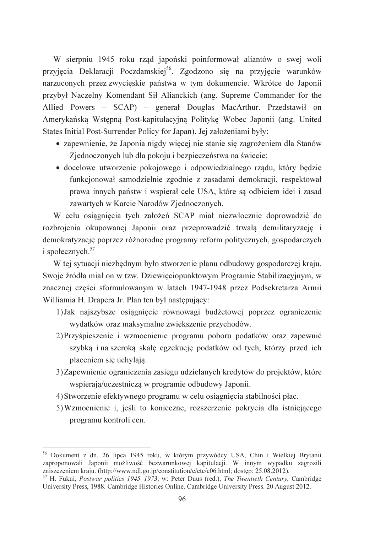W sierpniu 1945 roku rząd japoński poinformował aliantów o swej woli przyjęcia Deklaracji Poczdamskiej<sup>56</sup>. Zgodzono się na przyjęcie warunków narzuconych przez zwycięskie państwa w tym dokumencie. Wkrótce do Japonii przybył Naczelny Komendant Sił Alianckich (ang. Supreme Commander for the Allied Powers - SCAP) - general Douglas MacArthur. Przedstawił on Amerykańską Wstępną Post-kapitulacyjną Politykę Wobec Japonii (ang. United States Initial Post-Surrender Policy for Japan). Jej założeniami były:

- zapewnienie, że Japonia nigdy wiecej nie stanie się zagrożeniem dla Stanów Zjednoczonych lub dla pokoju i bezpieczeństwa na świecie;
- · docelowe utworzenie pokojowego i odpowiedzialnego rządu, który będzie funkcionował samodzielnie zgodnie z zasadami demokracji, respektował prawa innych państw i wspierał cele USA, które są odbiciem idei i zasad zawartych w Karcie Narodów Zjednoczonych.

W celu osiągnięcia tych założeń SCAP miał niezwłocznie doprowadzić do rozbrojenia okupowanej Japonii oraz przeprowadzić trwała demilitaryzację i demokratyzację poprzez różnorodne programy reform politycznych, gospodarczych i społecznych. $57$ 

W tej sytuacji niezbędnym było stworzenie planu odbudowy gospodarczej kraju. Swoje źródła miał on w tzw. Dziewieciopunktowym Programie Stabilizacyjnym, w znacznej części sformułowanym w latach 1947-1948 przez Podsekretarza Armii Williamia H. Drapera Jr. Plan ten był następujący:

- 1) Jak najszybsze osiągnięcie równowagi budżetowej poprzez ograniczenie wydatków oraz maksymalne zwiększenie przychodów.
- 2) Przyśpieszenie i wzmocnienie programu poboru podatków oraz zapewnić szybką i na szeroką skalę egzekucję podatków od tych, którzy przed ich płaceniem się uchylają.
- 3) Zapewnienie ograniczenia zasięgu udzielanych kredytów do projektów, które wspierają/uczestniczą w programie odbudowy Japonii.
- 4) Stworzenie efektywnego programu w celu osiągnięcia stabilności płac.
- 5) Wzmocnienie i, jeśli to konieczne, rozszerzenie pokrycia dla istniejącego programu kontroli cen.

<sup>&</sup>lt;sup>56</sup> Dokument z dn. 26 lipca 1945 roku, w którym przywódcy USA, Chin i Wielkiej Brytanii zaproponowali Japonii możliwość bezwarunkowej kapitulacji. W innym wypadku zagrozili zniszczeniem kraju. (http://www.ndl.go.jp/constitution/e/etc/c06.html; dostęp: 25.08.2012).

<sup>&</sup>lt;sup>57</sup> H. Fukui, *Postwar politics 1945–1973*, w: Peter Duus (red.), *The Twentieth Century*, Cambridge University Press, 1988. Cambridge Histories Online. Cambridge University Press. 20 August 2012.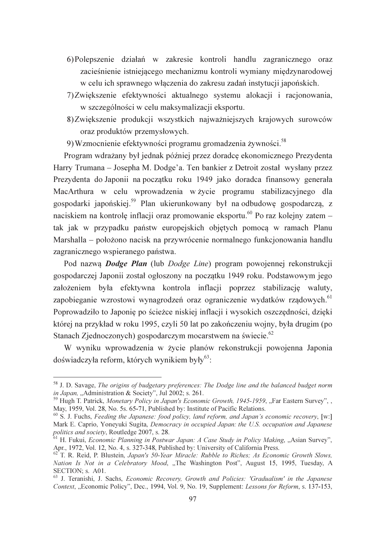- 6) Polepszenie działań w zakresie kontroli handlu zagranicznego oraz zacieśnienie istniejącego mechanizmu kontroli wymiany międzynarodowej w celu ich sprawnego włączenia do zakresu zadań instytucji japońskich.
- 7) Zwiększenie efektywności aktualnego systemu alokacji i racjonowania, w szczególności w celu maksymalizacji eksportu.
- 8) Zwiększenie produkcji wszystkich najważniejszych krajowych surowców oraz produktów przemysłowych.
- 9) Wzmocnienie efektywności programu gromadzenia żywności.<sup>58</sup>

Program wdrażany był jednak później przez doradcę ekonomicznego Prezydenta Harry Trumana – Josepha M. Dodge'a. Ten bankier z Detroit został wysłany przez Prezvdenta do Japonii na poczatku roku 1949 jako doradca finansowy generała MacArthura w celu wprowadzenia w życie programu stabilizacyjnego dla gospodarki japońskiej.<sup>59</sup> Plan ukierunkowany był na odbudowe gospodarcza, z naciskiem na kontrole inflacii oraz promowanie eksportu. $60$  Po raz koleiny zatem – tak jak w przypadku państw europejskich objętych pomocą w ramach Planu Marshalla – położono nacisk na przywrócenie normalnego funkcjonowania handlu zagranicznego wspieranego państwa.

Pod nazwą *Dodge Plan* (lub *Dodge Line*) program powojennej rekonstrukcji gospodarczej Japonii został ogłoszony na poczatku 1949 roku. Podstawowym jego założeniem była efektywna kontrola inflacji poprzez stabilizację waluty, zapobieganie wzrostowi wynagrodzeń oraz ograniczenie wydatków rządowych.<sup>61</sup> Poprowadziło to Japonię po ścieżce niskiej inflacji i wysokich oszczędności, dzięki której na przykład w roku 1995, czyli 50 lat po zakończeniu wojny, była drugim (po Stanach Zjednoczonych) gospodarczym mocarstwem na świecie.<sup>62</sup>

W wyniku wprowadzenia w życie planów rekonstrukcji powojenna Japonia doświadczyła reform, których wynikiem były<sup>63</sup>:

<sup>&</sup>lt;sup>58</sup> J. D. Savage, *The origins of budgetary preferences: The Dodge line and the balanced budget norm* in Japan, "Administration & Society", Jul 2002; s. 261.

<sup>&</sup>lt;sup>59</sup> Hugh T. Patrick, Monetary Policy in Japan's Economic Growth, 1945-1959, "Far Eastern Survey", , May, 1959, Vol. 28, No. 5s. 65-71, Published by: Institute of Pacific Relations.

 $^{60}$  S. J. Fuchs, Feeding the Japanese: food policy, land reform, and Japan's economic recovery, [w:] Mark E. Caprio, Yoneyuki Sugita, Democracy in occupied Japan: the U.S. occupation and Japanese politics and society, Routledge 2007, s. 28.<br><sup>61</sup> H. Fukui, *Economic Planning in Postwar Japan: A Case Study in Policy Making*, "Asian Survey",

Apr., 1972, Vol. 12, No. 4, s. 327-348, Published by: University of California Press.

 $62$  T. R. Reid, P. Blustein, Japan's 50-Year Miracle: Rubble to Riches; As Economic Growth Slows, Nation Is Not in a Celebratory Mood, "The Washington Post", August 15, 1995, Tuesday, A SECTION; s. A01.

<sup>&</sup>lt;sup>63</sup> J. Teranishi, J. Sachs, *Economic Recovery, Growth and Policies: 'Gradualism' in the Japanese* Context, "Economic Policy", Dec., 1994, Vol. 9, No. 19, Supplement: Lessons for Reform, s. 137-153,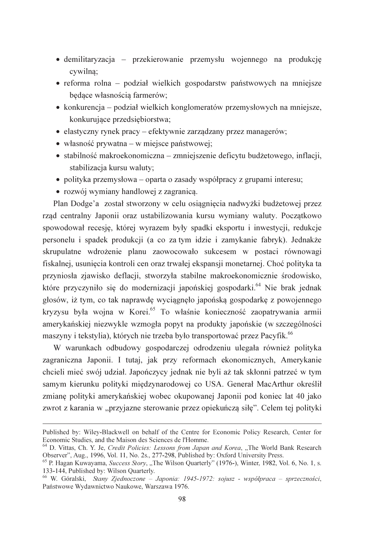- · demilitaryzacja przekierowanie przemysłu wojennego na produkcję cywilna:
- reforma rolna podział wielkich gospodarstw państwowych na mniejsze bedace własnościa farmerów;
- konkurencja podział wielkich konglomeratów przemysłowych na mniejsze, konkurujące przedsiębiorstwa;
- elastyczny rynek pracy efektywnie zarządzany przez managerów;
- $\bullet$  własność prywatna w miejsce państwowej;
- · stabilność makroekonomiczna zmniejszenie deficytu budżetowego, inflacji, stabilizacja kursu waluty;
- polityka przemysłowa oparta o zasady współpracy z grupami interesu:
- rozwój wymiany handlowej z zagranicą.

Plan Dodge'a został stworzony w celu osiągniecia nadwyżki budżetowej przez rząd centralny Japonii oraz ustabilizowania kursu wymiany waluty. Początkowo spowodował recesję, której wyrazem były spadki eksportu i inwestycji, redukcje personelu i spadek produkcji (a co za tym idzie i zamykanie fabryk). Jednakże skrupulatne wdrożenie planu zaowocowało sukcesem w postaci równowagi fiskalnej, usunięcia kontroli cen oraz trwałej ekspansji monetarnej. Choć polityka ta przyniosła zjawisko deflacji, stworzyła stabilne makroekonomicznie środowisko, które przyczyniło się do modernizacji japońskiej gospodarki.<sup>64</sup> Nie brak jednak głosów, iż tym, co tak naprawdę wyciągnęło japońską gospodarkę z powojennego kryzysu była wojna w Korei.<sup>65</sup> To właśnie konieczność zaopatrywania armii amerykańskiej niezwykle wzmogła popyt na produkty japońskie (w szczególności maszyny i tekstylia), których nie trzeba było transportować przez Pacyfik.<sup>66</sup>

W warunkach odbudowy gospodarczej odrodzeniu ulegała również polityka zagraniczna Japonii. I tutaj, jak przy reformach ekonomicznych, Amerykanie chcieli mieć swój udział. Japończycy jednak nie byli aż tak skłonni patrzeć w tym samym kierunku polityki międzynarodowej co USA. Generał MacArthur określił zmiane polityki amerykańskiej wobec okupowanej Japonii pod koniec lat 40 jako zwrot z karania w "przyjazne sterowanie przez opiekuńcza siłę". Celem tej polityki

Published by: Wiley-Blackwell on behalf of the Centre for Economic Policy Research, Center for Economic Studies, and the Maison des Sciences de l'Homme.

<sup>&</sup>lt;sup>64</sup> D. Vittas, Ch. Y. Je, Credit Policies: Lessons from Japan and Korea, "The World Bank Research Observer", Aug., 1996, Vol. 11, No. 2s., 277-298, Published by: Oxford University Press.

<sup>&</sup>lt;sup>65</sup> P. Hagan Kuwayama, *Success Story*, "The Wilson Quarterly" (1976-), Winter, 1982, Vol. 6, No. 1, s. 133-144, Published by: Wilson Quarterly.

<sup>66</sup> W. Góralski, Stany Zjednoczone - Japonia: 1945-1972: sojusz - współpraca - sprzeczności, Państwowe Wydawnictwo Naukowe, Warszawa 1976.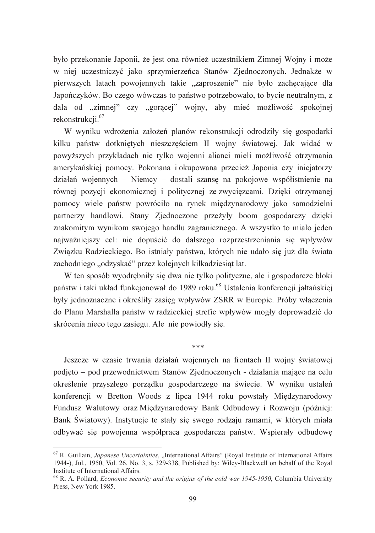było przekonanie Japonii, że jest ona również uczestnikiem Zimnej Wojny i może w niej uczestniczyć jako sprzymierzeńca Stanów Zjednoczonych. Jednakże w pierwszych latach powojennych takie "zaproszenie" nie było zachęcające dla Japończyków. Bo czego wówczas to państwo potrzebowało, to bycie neutralnym, z dala od "zimnej" czy "gorącej" wojny, aby mieć możliwość spokojnej rekonstrukcii.<sup>67</sup>

W wyniku wdrożenia założeń planów rekonstrukcji odrodziły się gospodarki kilku państw dotkniętych nieszczęściem II wojny światowej. Jak widać w powyższych przykładach nie tylko wojenni alianci mieli możliwość otrzymania amerykańskiej pomocy. Pokonana i okupowana przecież Japonia czy inicjatorzy działań wojennych – Niemcy – dostali szansę na pokojowe współistnienie na równej pozycji ekonomicznej i politycznej ze zwycięzcami. Dzięki otrzymanej pomocy wiele państw powróciło na rynek międzynarodowy jako samodzielni partnerzy handlowi. Stany Zjednoczone przeżyły boom gospodarczy dzięki znakomitym wynikom swojego handlu zagranicznego. A wszystko to miało jeden najważniejszy cel: nie dopuścić do dalszego rozprzestrzeniania się wpływów Związku Radzieckiego. Bo istniały państwa, których nie udało się już dla świata zachodniego "odzyskać" przez kolejnych kilkadziesiąt lat.

W ten sposób wyodrebniły się dwa nie tylko polityczne, ale i gospodarcze bloki państw i taki układ funkcjonował do 1989 roku.<sup>68</sup> Ustalenia konferencji jałtańskiej były jednoznaczne i określiły zasięg wpływów ZSRR w Europie. Próby włączenia do Planu Marshalla państw w radzieckiej strefie wpływów mogły doprowadzić do skrócenia nieco tego zasięgu. Ale nie powiodły się.

 $***$ 

Jeszcze w czasie trwania działań wojennych na frontach II wojny światowej podjęto – pod przewodnictwem Stanów Zjednoczonych - działania mające na celu określenie przyszłego porządku gospodarczego na świecie. W wyniku ustaleń konferencji w Bretton Woods z lipca 1944 roku powstały Międzynarodowy Fundusz Walutowy oraz Międzynarodowy Bank Odbudowy i Rozwoju (później: Bank Światowy). Instytucje te stały się swego rodzaju ramami, w których miała odbywać się powojenna współpraca gospodarcza państw. Wspierały odbudowę

 $67$  R. Guillain, *Japanese Uncertainties*, "International Affairs" (Royal Institute of International Affairs 1944-), Jul., 1950, Vol. 26, No. 3, s. 329-338, Published by: Wiley-Blackwell on behalf of the Royal Institute of International Affairs.

<sup>&</sup>lt;sup>68</sup> R. A. Pollard, *Economic security and the origins of the cold war 1945-1950*, Columbia University Press. New York 1985.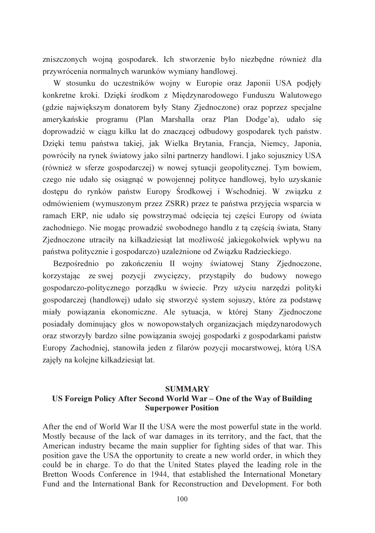zniszczonych wojna gospodarek. Ich stworzenie było niezbedne również dla przywrócenia normalnych warunków wymiany handlowej.

W stosunku do uczestników wojny w Europie oraz Japonii USA podjęły konkretne kroki. Dzieki środkom z Miedzynarodowego Funduszu Walutowego (gdzie największym donatorem były Stany Zjednoczone) oraz poprzez specjalne amerykańskie programu (Plan Marshalla oraz Plan Dodge'a), udało się doprowadzić w ciagu kilku lat do znaczącej odbudowy gospodarek tych państw. Dzieki temu państwa takiej, jak Wielka Brytania, Francja, Niemcy, Japonia, powróciły na rynek światowy jako silni partnerzy handlowi. I jako sojusznicy USA (również w sferze gospodarczej) w nowej sytuacji geopolitycznej. Tym bowiem, czego nie udało się osiągnać w powojennej polityce handlowej, było uzyskanie dostępu do rynków państw Europy Środkowej i Wschodniej. W związku z odmówieniem (wymuszonym przez ZSRR) przez te państwa przyjęcia wsparcia w ramach ERP, nie udało się powstrzymać odcięcia tej części Europy od świata zachodniego. Nie mogąc prowadzić swobodnego handlu z tą częścią świata, Stany Zjednoczone utraciły na kilkadziesiąt lat możliwość jakiegokolwiek wpływu na państwa politycznie i gospodarczo) uzależnione od Związku Radzieckiego.

Bezpośrednio po zakończeniu II wojny światowej Stany Zjednoczone, korzystając ze swej pozycji zwycięzcy, przystąpiły do budowy nowego gospodarczo-politycznego porządku w świecie. Przy użyciu narzędzi polityki gospodarczej (handlowej) udało się stworzyć system sojuszy, które za podstawę miały powiązania ekonomiczne. Ale sytuacja, w której Stany Zjednoczone posiadały dominujący głos w nowopowstałych organizacjach międzynarodowych oraz stworzyły bardzo silne powiązania swojej gospodarki z gospodarkami państw Europy Zachodniej, stanowiła jeden z filarów pozycji mocarstwowej, którą USA zajęły na kolejne kilkadziesiąt lat.

## **SUMMARY** US Foreign Policy After Second World War - One of the Way of Building **Superpower Position**

After the end of World War II the USA were the most powerful state in the world. Mostly because of the lack of war damages in its territory, and the fact, that the American industry became the main supplier for fighting sides of that war. This position gave the USA the opportunity to create a new world order, in which they could be in charge. To do that the United States played the leading role in the Bretton Woods Conference in 1944, that established the International Monetary Fund and the International Bank for Reconstruction and Development. For both